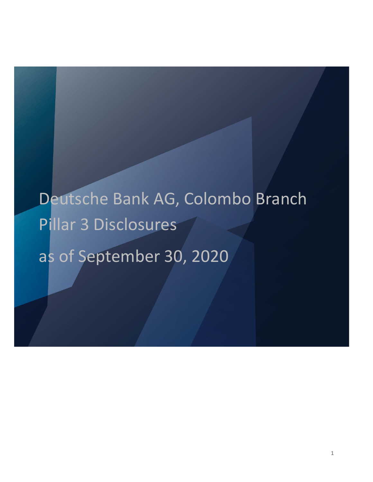# Deutsche Bank AG, Colombo Branch Pillar 3 Disclosures as of September 30, 2020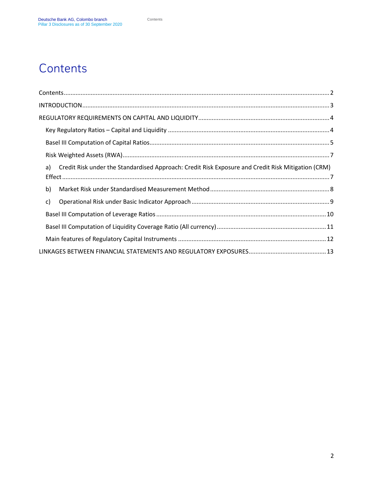# <span id="page-1-0"></span>**Contents**

| Credit Risk under the Standardised Approach: Credit Risk Exposure and Credit Risk Mitigation (CRM)<br>a) |  |
|----------------------------------------------------------------------------------------------------------|--|
| b)                                                                                                       |  |
| c)                                                                                                       |  |
|                                                                                                          |  |
|                                                                                                          |  |
|                                                                                                          |  |
|                                                                                                          |  |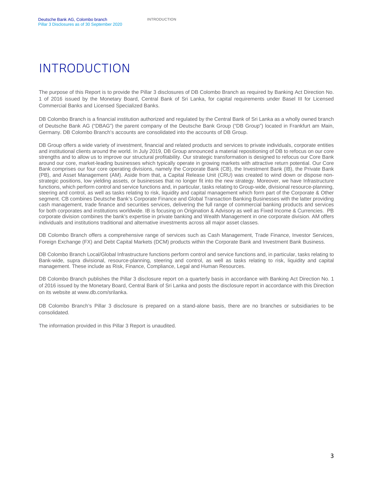# <span id="page-2-0"></span>INTRODUCTION

The purpose of this Report is to provide the Pillar 3 disclosures of DB Colombo Branch as required by Banking Act Direction No. 1 of 2016 issued by the Monetary Board, Central Bank of Sri Lanka, for capital requirements under Basel III for Licensed Commercial Banks and Licensed Specialized Banks.

DB Colombo Branch is a financial institution authorized and regulated by the Central Bank of Sri Lanka as a wholly owned branch of Deutsche Bank AG ("DBAG") the parent company of the Deutsche Bank Group ("DB Group") located in Frankfurt am Main, Germany. DB Colombo Branch's accounts are consolidated into the accounts of DB Group.

DB Group offers a wide variety of investment, financial and related products and services to private individuals, corporate entities and institutional clients around the world. In July 2019, DB Group announced a material repositioning of DB to refocus on our core strengths and to allow us to improve our structural profitability. Our strategic transformation is designed to refocus our Core Bank around our core, market-leading businesses which typically operate in growing markets with attractive return potential. Our Core Bank comprises our four core operating divisions, namely the Corporate Bank (CB), the Investment Bank (IB), the Private Bank (PB), and Asset Management (AM). Aside from that, a Capital Release Unit (CRU) was created to wind down or dispose nonstrategic positions, low yielding assets, or businesses that no longer fit into the new strategy. Moreover, we have Infrastructure functions, which perform control and service functions and, in particular, tasks relating to Group-wide, divisional resource-planning, steering and control, as well as tasks relating to risk, liquidity and capital management which form part of the Corporate & Other segment. CB combines Deutsche Bank's Corporate Finance and Global Transaction Banking Businesses with the latter providing cash management, trade finance and securities services, delivering the full range of commercial banking products and services for both corporates and institutions worldwide. IB is focusing on Origination & Advisory as well as Fixed Income & Currencies. PB corporate division combines the bank's expertise in [private banking](https://www.db.com/start) an[d Wealth Management](https://db.com/wm) in one corporate division. AM offers individuals and institutions traditional and alternative investments across all major asset classes.

DB Colombo Branch offers a comprehensive range of services such as Cash Management, Trade Finance, Investor Services, Foreign Exchange (FX) and Debt Capital Markets (DCM) products within the Corporate Bank and Investment Bank Business.

DB Colombo Branch Local/Global Infrastructure functions perform control and service functions and, in particular, tasks relating to Bank-wide, supra divisional, resource-planning, steering and control, as well as tasks relating to risk, liquidity and capital management. These include as Risk, Finance, Compliance, Legal and Human Resources.

DB Colombo Branch publishes the Pillar 3 disclosure report on a quarterly basis in accordance with Banking Act Direction No. 1 of 2016 issued by the Monetary Board, Central Bank of Sri Lanka and posts the disclosure report in accordance with this Direction on its website at www.db.com/srilanka.

DB Colombo Branch's Pillar 3 disclosure is prepared on a stand-alone basis, there are no branches or subsidiaries to be consolidated.

The information provided in this Pillar 3 Report is unaudited.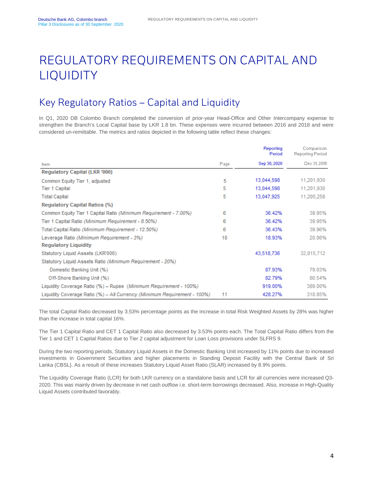# <span id="page-3-0"></span>REGULATORY REQUIREMENTS ON CAPITAL AND LIQUIDITY

## <span id="page-3-1"></span>Key Regulatory Ratios – Capital and Liquidity

In Q1, 2020 DB Colombo Branch completed the conversion of prior-year Head-Office and Other Intercompany expense to strengthen the Branch's Local Capital base by LKR 1.8 bn. These expenses were incurred between 2016 and 2018 and were considered un-remittable. The metrics and ratios depicted in the following table reflect these changes:

|                                                                          |      | Reporting<br>Period | Comparison<br>Reporting Period |
|--------------------------------------------------------------------------|------|---------------------|--------------------------------|
| Item.                                                                    | Page | Sep 30, 2020        | Dec 31, 2019                   |
| Regulatory Capital (LKR '000)                                            |      |                     |                                |
| Common Equity Tier 1, adjusted                                           | 5    | 13,044,598          | 11,201,930                     |
| Tier 1 Capital                                                           | 5    | 13,044,598          | 11.201.930                     |
| <b>Total Capital</b>                                                     | 5    | 13,047,925          | 11,205,258                     |
| <b>Requlatory Capital Ratios (%)</b>                                     |      |                     |                                |
| Common Equity Tier 1 Capital Ratio (Minimum Requirement - 7.00%)         | 6    | 36.42%              | 39.95%                         |
| Tier 1 Capital Ratio (Minimum Requirement - 8.50%)                       | 6    | 36.42%              | 39.95%                         |
| Total Capital Ratio (Minimum Requirement - 12.50%)                       | 6    | 36.43%              | 39.96%                         |
| Leverage Ratio (Minimum Requirement - 3%)                                | 10   | 18.93%              | 20.06%                         |
| <b>Regulatory Liquidity</b>                                              |      |                     |                                |
| Statutory Liquid Assets (LKR'000)                                        |      | 43,518,736          | 32,815,712                     |
| Statutory Liquid Assets Ratio (Minimum Requirement - 20%)                |      |                     |                                |
| Domestic Banking Unit (%)                                                |      | 87.93%              | 79.03%                         |
| Off-Shore Banking Unit (%)                                               |      | 82.79%              | 80.54%                         |
| Liquidity Coverage Ratio (%) - Rupee (Minimum Requirement - 100%)        |      | 919.00%             | 389.00%                        |
| Liquidity Coverage Ratio (%) - All Currency (Minimum Requirement - 100%) | 11   | 428.27%             | 310.85%                        |

The total Capital Ratio decreased by 3.53% percentage points as the increase in total Risk Weighted Assets by 28% was higher than the increase in total capital 16%.

The Tier 1 Capital Ratio and CET 1 Capital Ratio also decreased by 3.53% points each. The Total Capital Ratio differs from the Tier 1 and CET 1 Capital Ratios due to Tier 2 capital adjustment for Loan Loss provisions under SLFRS 9.

During the two reporting periods, Statutory Liquid Assets in the Domestic Banking Unit increased by 11% points due to increased investments in Government Securities and higher placements in Standing Deposit Facility with the Central Bank of Sri Lanka (CBSL). As a result of these increases Statutory Liquid Asset Ratio (SLAR) increased by 8.9% points.

The Liquidity Coverage Ratio (LCR) for both LKR currency on a standalone basis and LCR for all currencies were increased Q3- 2020. This was mainly driven by decrease in net cash outflow i.e. short-term borrowings decreased. Also, increase in High-Quality Liquid Assets contributed favorably.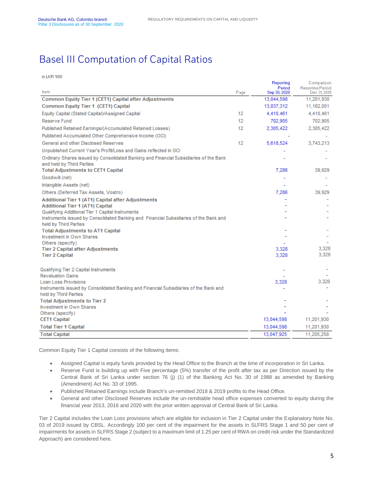#### <span id="page-4-0"></span>Basel III Computation of Capital Ratios

in LKR '000

| Item<br>Page<br>Sep 30, 2020<br>Common Equity Tier 1 (CET1) Capital after Adjustments<br>13,044,598<br>Common Equity Tier 1 (CET1) Capital<br>13,037,312<br>Equity Capital (Stated Capital)/Assigned Capital<br>12<br>4,410,461<br>12 <sup>°</sup><br>Reserve Fund<br>702,905<br>Published Retained Earnings/(Accumulated Retained Losses)<br>12<br>2,305,422<br>Published Accumulated Other Comprehensive Income (OCI)<br>General and other Disclosed Reserves<br>12<br>5,618,524<br>Unpublished Current Year's Profit/Loss and Gains reflected in OCI<br>Ordinary Shares issued by Consolidated Banking and Financial Subsidiaries of the Bank<br>and held by Third Parties<br><b>Total Adjustments to CET1 Capital</b><br>7,286<br>Goodwill (net) | Dec 31, 2019 |
|------------------------------------------------------------------------------------------------------------------------------------------------------------------------------------------------------------------------------------------------------------------------------------------------------------------------------------------------------------------------------------------------------------------------------------------------------------------------------------------------------------------------------------------------------------------------------------------------------------------------------------------------------------------------------------------------------------------------------------------------------|--------------|
|                                                                                                                                                                                                                                                                                                                                                                                                                                                                                                                                                                                                                                                                                                                                                      |              |
|                                                                                                                                                                                                                                                                                                                                                                                                                                                                                                                                                                                                                                                                                                                                                      | 11,201,930   |
|                                                                                                                                                                                                                                                                                                                                                                                                                                                                                                                                                                                                                                                                                                                                                      | 11,162,001   |
|                                                                                                                                                                                                                                                                                                                                                                                                                                                                                                                                                                                                                                                                                                                                                      | 4,410,461    |
|                                                                                                                                                                                                                                                                                                                                                                                                                                                                                                                                                                                                                                                                                                                                                      | 702,905      |
|                                                                                                                                                                                                                                                                                                                                                                                                                                                                                                                                                                                                                                                                                                                                                      | 2,305,422    |
|                                                                                                                                                                                                                                                                                                                                                                                                                                                                                                                                                                                                                                                                                                                                                      |              |
|                                                                                                                                                                                                                                                                                                                                                                                                                                                                                                                                                                                                                                                                                                                                                      | 3,743,213    |
|                                                                                                                                                                                                                                                                                                                                                                                                                                                                                                                                                                                                                                                                                                                                                      |              |
|                                                                                                                                                                                                                                                                                                                                                                                                                                                                                                                                                                                                                                                                                                                                                      |              |
|                                                                                                                                                                                                                                                                                                                                                                                                                                                                                                                                                                                                                                                                                                                                                      | 39,929       |
|                                                                                                                                                                                                                                                                                                                                                                                                                                                                                                                                                                                                                                                                                                                                                      |              |
| Intangible Assets (net)                                                                                                                                                                                                                                                                                                                                                                                                                                                                                                                                                                                                                                                                                                                              |              |
| Others (Deferred Tax Assets, Vostro)<br>7,286                                                                                                                                                                                                                                                                                                                                                                                                                                                                                                                                                                                                                                                                                                        | 39,929       |
| Additional Tier 1 (AT1) Capital after Adjustments                                                                                                                                                                                                                                                                                                                                                                                                                                                                                                                                                                                                                                                                                                    |              |
| <b>Additional Tier 1 (AT1) Capital</b>                                                                                                                                                                                                                                                                                                                                                                                                                                                                                                                                                                                                                                                                                                               |              |
| Qualifying Additional Tier 1 Capital Instruments                                                                                                                                                                                                                                                                                                                                                                                                                                                                                                                                                                                                                                                                                                     |              |
| Instruments issued by Consolidated Banking and Financial Subsidiaries of the Bank and<br>held by Third Parties                                                                                                                                                                                                                                                                                                                                                                                                                                                                                                                                                                                                                                       |              |
| <b>Total Adjustments to AT1 Capital</b>                                                                                                                                                                                                                                                                                                                                                                                                                                                                                                                                                                                                                                                                                                              |              |
| <b>Investment in Own Shares</b>                                                                                                                                                                                                                                                                                                                                                                                                                                                                                                                                                                                                                                                                                                                      |              |
| Others (specify)                                                                                                                                                                                                                                                                                                                                                                                                                                                                                                                                                                                                                                                                                                                                     |              |
| 3,328<br><b>Tier 2 Capital after Adjustments</b>                                                                                                                                                                                                                                                                                                                                                                                                                                                                                                                                                                                                                                                                                                     | 3,328        |
| 3,328<br><b>Tier 2 Capital</b>                                                                                                                                                                                                                                                                                                                                                                                                                                                                                                                                                                                                                                                                                                                       | 3,328        |
| Qualifying Tier 2 Capital Instruments                                                                                                                                                                                                                                                                                                                                                                                                                                                                                                                                                                                                                                                                                                                |              |
| <b>Revaluation Gains</b>                                                                                                                                                                                                                                                                                                                                                                                                                                                                                                                                                                                                                                                                                                                             |              |
| Loan Loss Provisions<br>3,328                                                                                                                                                                                                                                                                                                                                                                                                                                                                                                                                                                                                                                                                                                                        | 3,328        |
| Instruments issued by Consolidated Banking and Financial Subsidiaries of the Bank and<br>held by Third Parties                                                                                                                                                                                                                                                                                                                                                                                                                                                                                                                                                                                                                                       |              |
| <b>Total Adjustments to Tier 2</b>                                                                                                                                                                                                                                                                                                                                                                                                                                                                                                                                                                                                                                                                                                                   |              |
| <b>Investment in Own Shares</b>                                                                                                                                                                                                                                                                                                                                                                                                                                                                                                                                                                                                                                                                                                                      |              |
| Others (specify)                                                                                                                                                                                                                                                                                                                                                                                                                                                                                                                                                                                                                                                                                                                                     |              |
| <b>CET1 Capital</b><br>13,044,598                                                                                                                                                                                                                                                                                                                                                                                                                                                                                                                                                                                                                                                                                                                    | 11,201,930   |
| <b>Total Tier 1 Capital</b><br>13,044,598                                                                                                                                                                                                                                                                                                                                                                                                                                                                                                                                                                                                                                                                                                            | 11,201,930   |
| 13,047,925<br><b>Total Capital</b>                                                                                                                                                                                                                                                                                                                                                                                                                                                                                                                                                                                                                                                                                                                   | 11,205,258   |

Common Equity Tier 1 Capital consists of the following items:

- Assigned Capital is equity funds provided by the Head Office to the Branch at the time of incorporation in Sri Lanka.
- Reserve Fund is building up with Five percentage (5%) transfer of the profit after tax as per Direction issued by the Central Bank of Sri Lanka under section 76 (j) (1) of the Banking Act No. 30 of 1988 as amended by Banking (Amendment) Act No. 33 of 1995.
- Published Retained Earnings include Branch's un-remitted 2018 & 2019 profits to the Head Office.
- General and other Disclosed Reserves include the un-remittable head office expenses converted to equity during the financial year 2013, 2016 and 2020 with the prior written approval of Central Bank of Sri Lanka.

Tier 2 Capital includes the Loan Loss provisions which are eligible for inclusion in Tier 2 Capital under the Explanatory Note No. 03 of 2019 issued by CBSL. Accordingly 100 per cent of the impairment for the assets in SLFRS Stage 1 and 50 per cent of impairments for assets in SLFRS Stage 2 (subject to a maximum limit of 1.25 per cent of RWA on credit risk under the Standardized Approach) are considered here.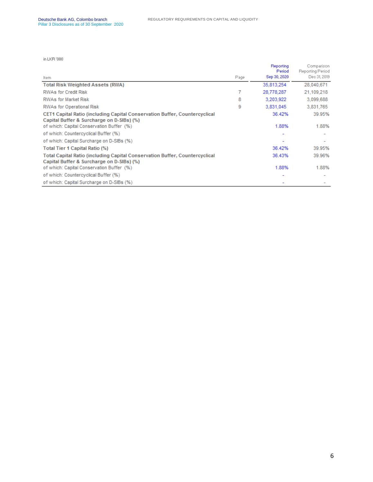in LKR '000

|                                                                                                                          |      | Reporting<br>Period | Comparison<br>Reporting Period |
|--------------------------------------------------------------------------------------------------------------------------|------|---------------------|--------------------------------|
| Item.                                                                                                                    | Page | Sep 30, 2020        | Dec 31, 2019                   |
| <b>Total Risk Weighted Assets (RWA)</b>                                                                                  |      | 35,813,254          | 28,040,671                     |
| <b>RWAs for Credit Risk</b>                                                                                              |      | 28,778,287          | 21,109,218                     |
| <b>RWAs for Market Risk</b>                                                                                              | 8    | 3,203,922           | 3,099,688                      |
| RWAs for Operational Risk                                                                                                | 9    | 3,831,045           | 3,831,765                      |
| CET1 Capital Ratio (including Capital Conservation Buffer, Countercyclical<br>Capital Buffer & Surcharge on D-SIBs) (%)  |      | 36.42%              | 39.95%                         |
| of which: Capital Conservation Buffer (%)                                                                                |      | 1.88%               | 1.88%                          |
| of which: Countercyclical Buffer (%)                                                                                     |      |                     |                                |
| of which: Capital Surcharge on D-SIBs (%)                                                                                |      |                     |                                |
| Total Tier 1 Capital Ratio (%)                                                                                           |      | 36.42%              | 39.95%                         |
| Total Capital Ratio (including Capital Conservation Buffer, Countercyclical<br>Capital Buffer & Surcharge on D-SIBs) (%) |      | 36.43%              | 39.96%                         |
| of which: Capital Conservation Buffer (%)                                                                                |      | 1.88%               | 1.88%                          |
| of which: Countercyclical Buffer (%)                                                                                     |      |                     |                                |
| of which: Capital Surcharge on D-SIBs (%)                                                                                |      |                     |                                |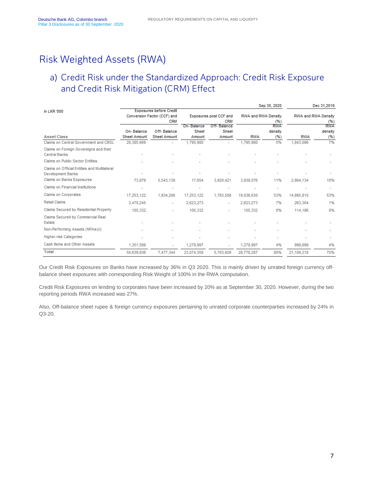#### <span id="page-6-0"></span>Risk Weighted Assets (RWA)

#### <span id="page-6-1"></span>a) Credit Risk under the Standardized Approach: Credit Risk Exposure and Credit Risk Mitigation (CRM) Effect

|                                                                          |                                                               |                          |              |                           |                     | Sep 30, 2020 |                     | Dec 31,2019       |
|--------------------------------------------------------------------------|---------------------------------------------------------------|--------------------------|--------------|---------------------------|---------------------|--------------|---------------------|-------------------|
| in LKR '000                                                              | <b>Exposures before Credit</b><br>Conversion Factor (CCF) and |                          |              | Exposures post CCF and    | RWA and RWA Density |              | RWA and RWA Density |                   |
|                                                                          |                                                               | <b>CRM</b>               | On-Balance   | <b>CRM</b><br>Off-Balance |                     | (%)<br>RWA   |                     | (%)<br><b>RWA</b> |
|                                                                          | On-Balance                                                    | Off-Balance              | <b>Sheet</b> | Sheet                     |                     | density      |                     | density           |
| <b>Asset Class</b>                                                       | <b>Sheet Amount</b>                                           | <b>Sheet Amount</b>      | Amount       | Amount                    | <b>RWA</b>          | (%)          | <b>RWA</b>          | (%)               |
| Claims on Central Government and CBSL                                    | 28,385,669                                                    |                          | 1,795,980    | ۰                         | 1,795,980           | 5%           | 1,843,086           | 7%                |
| Claims on Foreign Sovereigns and their<br><b>Central Banks</b>           |                                                               |                          |              |                           |                     |              |                     |                   |
| <b>Claims on Public Sector Entities</b>                                  |                                                               |                          |              |                           |                     |              |                     |                   |
| Claims on Official Entities and Multilateral<br><b>Development Banks</b> |                                                               |                          |              |                           |                     |              |                     |                   |
| <b>Claims on Banks Exposures</b>                                         | 73,879                                                        | 5,543,139                | 17,654       | 3,920,421                 | 3,938,076           | 11%          | 2,904,134           | 10%               |
| Claims on Financial Institutions                                         | ۰                                                             | ٠                        |              |                           |                     | ۰            |                     |                   |
| <b>Claims on Corporates</b>                                              | 17,253,122                                                    | 1,934,206                | 17,253,122   | 1,783,508                 | 19,036,630          | 53%          | 14,985,810          | 53%               |
| <b>Retail Claims</b>                                                     | 3,470,245                                                     |                          | 2,623,273    | ٠                         | 2,623,273           | 7%           | 263,304             | 1%                |
| Claims Secured by Residential Property                                   | 105,332                                                       |                          | 105,332      |                           | 105,332             | 0%           | 114,186             | 0%                |
| Claims Secured by Commercial Real<br>Estate                              |                                                               |                          |              |                           |                     |              |                     |                   |
| Non-Performing Assets (NPAs)(i)                                          |                                                               |                          |              |                           |                     |              |                     |                   |
| <b>Higher-risk Categories</b>                                            |                                                               |                          |              |                           |                     |              |                     |                   |
| Cash Items and Other Assets                                              | 1,351,589                                                     | $\overline{\phantom{0}}$ | 1.278.997    |                           | 1.278.997           | 4%           | 998,699             | 4%                |
| <b>Total</b>                                                             | 50,639,836                                                    | 7,477,344                | 23,074,358   | 5,703,929                 | 28,778,287          | 80%          | 21,109,218          | 75%               |

Our Credit Risk Exposures on Banks have increased by 36% in Q3 2020. This is mainly driven by unrated foreign currency offbalance sheet exposures with corresponding Risk Weight of 100% in the RWA computation.

Credit Risk Exposures on lending to corporates have been increased by 20% as at September 30, 2020. However, during the two reporting periods RWA increased was 27%.

Also, Off-balance sheet rupee & foreign currency exposures pertaining to unrated corporate counterparties increased by 24% in Q3-20.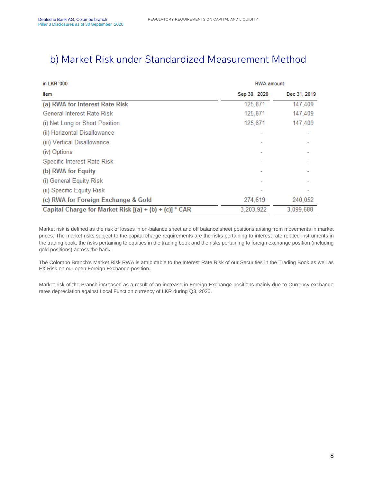#### <span id="page-7-0"></span>b) Market Risk under Standardized Measurement Method

| in LKR '000                                            | RWA amount   |              |  |
|--------------------------------------------------------|--------------|--------------|--|
| Item                                                   | Sep 30, 2020 | Dec 31, 2019 |  |
| (a) RWA for Interest Rate Risk                         | 125,871      | 147,409      |  |
| General Interest Rate Risk                             | 125,871      | 147,409      |  |
| (i) Net Long or Short Position                         | 125,871      | 147,409      |  |
| (ii) Horizontal Disallowance                           |              |              |  |
| (iii) Vertical Disallowance                            |              |              |  |
| (iv) Options                                           |              |              |  |
| Specific Interest Rate Risk                            |              |              |  |
| (b) RWA for Equity                                     |              |              |  |
| (i) General Equity Risk                                |              |              |  |
| (ii) Specific Equity Risk                              |              |              |  |
| (c) RWA for Foreign Exchange & Gold                    | 274,619      | 240,052      |  |
| Capital Charge for Market Risk [(a) + (b) + (c)] * CAR | 3,203,922    | 3,099,688    |  |

Market risk is defined as the risk of losses in on-balance sheet and off balance sheet positions arising from movements in market prices. The market risks subject to the capital charge requirements are the risks pertaining to interest rate related instruments in the trading book, the risks pertaining to equities in the trading book and the risks pertaining to foreign exchange position (including gold positions) across the bank.

The Colombo Branch's Market Risk RWA is attributable to the Interest Rate Risk of our Securities in the Trading Book as well as FX Risk on our open Foreign Exchange position.

Market risk of the Branch increased as a result of an increase in Foreign Exchange positions mainly due to Currency exchange rates depreciation against Local Function currency of LKR during Q3, 2020.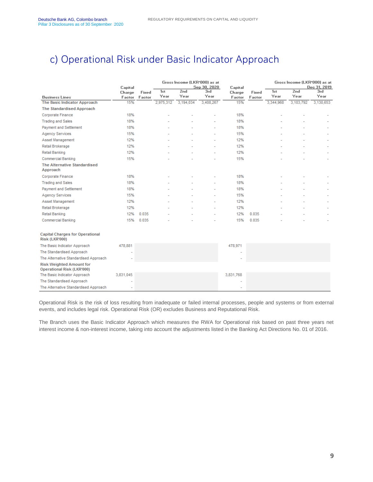### <span id="page-8-0"></span>c) Operational Risk under Basic Indicator Approach

|                                                                      | Capital       |        | Gross Income (LKR'000) as at<br>Sep 30, 2020 |             | Capital     |               |        | Gross Income (LKR'000) as at<br>Dec 31, 2019 |             |             |
|----------------------------------------------------------------------|---------------|--------|----------------------------------------------|-------------|-------------|---------------|--------|----------------------------------------------|-------------|-------------|
|                                                                      | Charge        | Fixed  | 1st<br>Year                                  | 2nd<br>Year | 3rd<br>Year | Charge        | Fixed  | 1st<br>Year                                  | 2nd<br>Year | 3rd<br>Year |
| <b>Business Lines</b><br>The Basic Indicator Approach                | Factor<br>15% | Factor | 2,975,312                                    | 3,194,034   | 3,408,267   | Factor<br>15% | Factor | 3,344,968                                    | 3,103,792   | 3,130,653   |
| <b>The Standardised Approach</b>                                     |               |        |                                              |             |             |               |        |                                              |             |             |
| <b>Corporate Finance</b>                                             | 18%           |        |                                              |             |             | 18%           |        |                                              |             |             |
| <b>Trading and Sales</b>                                             | 18%           |        |                                              |             |             | 18%           |        |                                              |             |             |
| <b>Payment and Settlement</b>                                        | 18%           |        |                                              |             |             | 18%           |        |                                              |             |             |
| <b>Agency Services</b>                                               | 15%           |        |                                              |             |             | 15%           |        |                                              |             |             |
|                                                                      |               |        |                                              |             |             |               |        |                                              |             |             |
| Asset Management                                                     | 12%           |        |                                              |             |             | 12%           |        |                                              |             |             |
| Retail Brokerage                                                     | 12%           |        |                                              |             |             | 12%           |        |                                              |             |             |
| Retail Banking                                                       | 12%           |        |                                              |             |             | 12%           |        |                                              |             |             |
| <b>Commercial Banking</b>                                            | 15%           |        |                                              |             |             | 15%           |        |                                              |             |             |
| The Alternative Standardised<br>Approach                             |               |        |                                              |             |             |               |        |                                              |             |             |
| Corporate Finance                                                    | 18%           |        |                                              |             |             | 18%           |        |                                              |             |             |
| <b>Trading and Sales</b>                                             | 18%           |        |                                              |             |             | 18%           |        |                                              |             |             |
| Payment and Settlement                                               | 18%           |        |                                              |             |             | 18%           |        |                                              |             |             |
| <b>Agency Services</b>                                               | 15%           |        |                                              |             |             | 15%           |        |                                              |             |             |
| Asset Management                                                     | 12%           |        |                                              |             |             | 12%           |        |                                              |             |             |
| Retail Brokerage                                                     | 12%           |        |                                              |             |             | 12%           |        |                                              |             |             |
| <b>Retail Banking</b>                                                | 12%           | 0.035  |                                              |             |             | 12%           | 0.035  |                                              |             |             |
| <b>Commercial Banking</b>                                            | 15%           | 0.035  |                                              |             |             | 15%           | 0.035  |                                              |             |             |
| <b>Capital Charges for Operational</b><br>Risk (LKR'000)             |               |        |                                              |             |             |               |        |                                              |             |             |
| The Basic Indicator Approach                                         | 478,881       |        |                                              |             |             | 478,971       |        |                                              |             |             |
| The Standardised Approach                                            |               |        |                                              |             |             |               |        |                                              |             |             |
| The Alternative Standardised Approach                                |               |        |                                              |             |             |               |        |                                              |             |             |
| <b>Risk Weighted Amount for</b><br><b>Operational Risk (LKR'000)</b> |               |        |                                              |             |             |               |        |                                              |             |             |
| The Basic Indicator Approach                                         | 3,831,045     |        |                                              |             |             | 3,831,768     |        |                                              |             |             |
| The Standardised Approach                                            |               |        |                                              |             |             |               |        |                                              |             |             |
| The Alternative Standardised Approach                                |               |        |                                              |             |             |               |        |                                              |             |             |

Operational Risk is the risk of loss resulting from inadequate or failed internal processes, people and systems or from external events, and includes legal risk. Operational Risk (OR) excludes Business and Reputational Risk.

The Branch uses the Basic Indicator Approach which measures the RWA for Operational risk based on past three years net interest income & non-interest income, taking into account the adjustments listed in the Banking Act Directions No. 01 of 2016.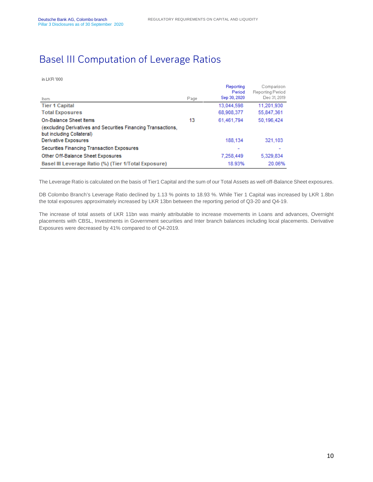#### <span id="page-9-0"></span>Basel III Computation of Leverage Ratios

#### in LKR '000

|                                                                                            |      | Reporting<br>Period | Comparison<br><b>Reporting Period</b> |
|--------------------------------------------------------------------------------------------|------|---------------------|---------------------------------------|
| Item.                                                                                      | Page | Sep 30, 2020        | Dec 31, 2019                          |
| <b>Tier 1 Capital</b>                                                                      |      | 13,044,598          | 11,201,930                            |
| <b>Total Exposures</b>                                                                     |      | 68,908,377          | 55,847,361                            |
| On-Balance Sheet Items                                                                     | 13   | 61.461.794          | 50.196.424                            |
| (excluding Derivatives and Securities Financing Transactions,<br>but including Collateral) |      |                     |                                       |
| Derivative Exposures                                                                       |      | 188,134             | 321,103                               |
| Securities Financing Transaction Exposures                                                 |      |                     |                                       |
| Other Off-Balance Sheet Exposures                                                          |      | 7,258,449           | 5,329,834                             |
| Basel III Leverage Ratio (%) (Tier 1/Total Exposure)                                       |      | 18.93%              | 20.06%                                |

The Leverage Ratio is calculated on the basis of Tier1 Capital and the sum of our Total Assets as well off-Balance Sheet exposures.

DB Colombo Branch's Leverage Ratio declined by 1.13 % points to 18.93 %. While Tier 1 Capital was increased by LKR 1.8bn the total exposures approximately increased by LKR 13bn between the reporting period of Q3-20 and Q4-19.

The increase of total assets of LKR 11bn was mainly attributable to increase movements in Loans and advances, Overnight placements with CBSL, Investments in Government securities and Inter branch balances including local placements. Derivative Exposures were decreased by 41% compared to of Q4-2019.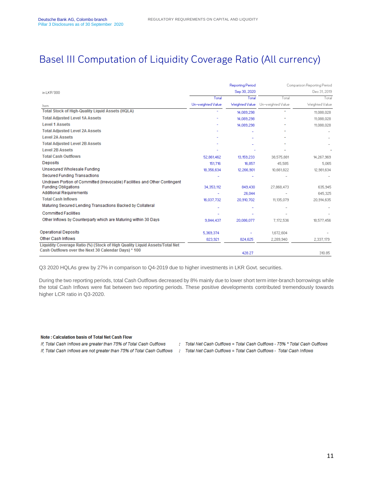#### <span id="page-10-0"></span>Basel III Computation of Liquidity Coverage Ratio (All currency)

|                                                                                                                                    |                   | <b>Reporting Period</b> | Comparison Reporting Period<br>Dec 31, 2019 |                |  |
|------------------------------------------------------------------------------------------------------------------------------------|-------------------|-------------------------|---------------------------------------------|----------------|--|
| in LKB '000                                                                                                                        |                   | Sep 30, 2020            |                                             |                |  |
|                                                                                                                                    | Total             | Total                   | Total                                       | Total          |  |
| ltem.                                                                                                                              | Un-weighted Value | Weighted Value          | Un-weighted Value                           | Weighted Value |  |
| <b>Total Stock of High-Quality Liguid Assets (HQLA)</b>                                                                            |                   | 14,089,298              |                                             | 11,088,028     |  |
| <b>Total Adjusted Level 1A Assets</b>                                                                                              |                   | 14,089,298              |                                             | 11,088,028     |  |
| <b>Level 1 Assets</b>                                                                                                              |                   | 14,089,298              |                                             | 11.088.028     |  |
| <b>Total Adjusted Level 2A Assets</b>                                                                                              |                   |                         |                                             |                |  |
| <b>Level 2A Assets</b>                                                                                                             |                   |                         |                                             |                |  |
| <b>Total Adjusted Level 2B Assets</b>                                                                                              |                   |                         |                                             |                |  |
| <b>Level 2B Assets</b>                                                                                                             |                   |                         |                                             |                |  |
| <b>Total Cash Outflows</b>                                                                                                         | 52,861,462        | 13,159,233              | 38,575,881                                  | 14,267,969     |  |
| Deposits                                                                                                                           | 151,716           | 16,857                  | 45.585                                      | 5.065          |  |
| Unsecured Wholesale Funding                                                                                                        | 18,356,634        | 12,266,901              | 10,661,822                                  | 12,981,634     |  |
| <b>Secured Funding Transactions</b>                                                                                                |                   |                         |                                             |                |  |
| Undrawn Portion of Committed (Irrevocable) Facilities and Other Contingent                                                         |                   |                         |                                             |                |  |
| <b>Funding Obligations</b>                                                                                                         | 34.353.112        | 849,430                 | 27.868.473                                  | 635.945        |  |
| <b>Additional Requirements</b>                                                                                                     |                   | 26.044                  |                                             | 645.325        |  |
| <b>Total Cash Inflows</b>                                                                                                          | 16,037,732        | 20,910,702              | 11,135,079                                  | 20,914,635     |  |
| Maturing Secured Lending Transactions Backed by Collateral                                                                         |                   |                         |                                             |                |  |
| <b>Committed Facilities</b>                                                                                                        |                   |                         |                                             |                |  |
| Other Inflows by Counterparty which are Maturing within 30 Days                                                                    | 9.844.437         | 20.086.077              | 7,172,536                                   | 18,577,456     |  |
| <b>Operational Deposits</b>                                                                                                        | 5,369,374         |                         | 1,672,604                                   |                |  |
| Other Cash Inflows                                                                                                                 | 823,921           | 824,625                 | 2,289,940                                   | 2,337,179      |  |
| Liquidity Coverage Ratio (%) (Stock of High Quality Liquid Assets/Total Net<br>Cash Outflows over the Next 30 Calendar Days) * 100 |                   | 428.27                  |                                             | 310.85         |  |

Q3 2020 HQLAs grew by 27% in comparison to Q4-2019 due to higher investments in LKR Govt. securities.

During the two reporting periods, total Cash Outflows decreased by 8% mainly due to lower short term inter-branch borrowings while the total Cash Inflows were flat between two reporting periods. These positive developments contributed tremendously towards higher LCR ratio in Q3-2020.

#### Note: Calculation basis of Total Net Cash Flow

If, Total Cash Inflows are greater than 75% of Total Cash Outflows

- : Total Net Cash Outflows = Total Cash Outflows 75% \* Total Cash Outflows
- If, Total Cash Inflows are not greater than 75% of Total Cash Outflows : Total Net Cash Outflows = Total Cash Outflows Total Cash Inflows
	-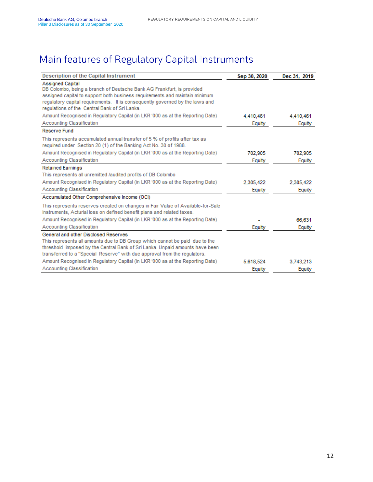## <span id="page-11-0"></span>Main features of Regulatory Capital Instruments

| <b>Description of the Capital Instrument</b>                                                                                                                                                                                                                                                                     | Sep 30, 2020 | Dec 31, 2019 |
|------------------------------------------------------------------------------------------------------------------------------------------------------------------------------------------------------------------------------------------------------------------------------------------------------------------|--------------|--------------|
| <b>Assigned Capital</b><br>DB Colombo, being a branch of Deutsche Bank AG Frankfurt, is provided<br>assigned capital to support both business requirements and maintain minimum<br>requiatory capital requirements. It is consequently governed by the laws and<br>regulations of the Central Bank of Sri Lanka. |              |              |
| Amount Recognised in Regulatory Capital (in LKR '000 as at the Reporting Date)                                                                                                                                                                                                                                   | 4,410,461    | 4.410,461    |
| Accounting Classification                                                                                                                                                                                                                                                                                        | Equity       | Equity       |
| Reserve Fund                                                                                                                                                                                                                                                                                                     |              |              |
| This represents accumulated annual transfer of 5 % of profits after tax as<br>required under Section 20 (1) of the Banking Act No. 30 of 1988.                                                                                                                                                                   |              |              |
| Amount Recognised in Regulatory Capital (in LKR '000 as at the Reporting Date)                                                                                                                                                                                                                                   | 702.905      | 702.905      |
| Accounting Classification                                                                                                                                                                                                                                                                                        | Equity       | Equity       |
| <b>Retained Earnings</b>                                                                                                                                                                                                                                                                                         |              |              |
| This represents all unremitted /audited profits of DB Colombo                                                                                                                                                                                                                                                    |              |              |
| Amount Recognised in Regulatory Capital (in LKR '000 as at the Reporting Date)                                                                                                                                                                                                                                   | 2,305,422    | 2,305,422    |
| Accounting Classification                                                                                                                                                                                                                                                                                        | Equity       | Equity       |
| Accumulated Other Comprehensive Income (OCI)                                                                                                                                                                                                                                                                     |              |              |
| This represents reserves created on changes in Fair Value of Available-for-Sale<br>instruments, Acturial loss on defined benefit plans and related taxes.                                                                                                                                                        |              |              |
| Amount Recognised in Regulatory Capital (in LKR '000 as at the Reporting Date)                                                                                                                                                                                                                                   |              | 66.631       |
| Accounting Classification                                                                                                                                                                                                                                                                                        | Equity       | Equity       |
| General and other Disclosed Reserves<br>This represents all amounts due to DB Group which cannot be paid due to the<br>threshold imposed by the Central Bank of Sri Lanka. Unpaid amounts have been<br>transferred to a "Special Reserve" with due approval from the regulators.                                 |              |              |
| Amount Recognised in Regulatory Capital (in LKR '000 as at the Reporting Date)                                                                                                                                                                                                                                   | 5,618,524    | 3,743,213    |
| <b>Accounting Classification</b>                                                                                                                                                                                                                                                                                 | Equity       | Equity       |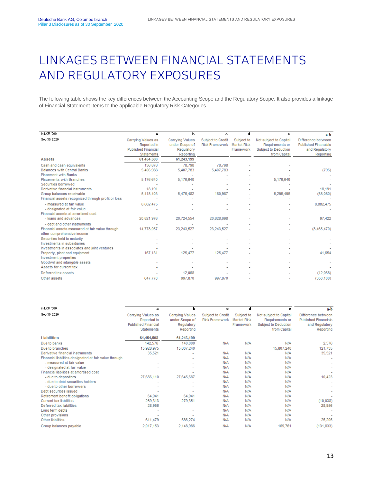# <span id="page-12-0"></span>LINKAGES BETWEEN FINANCIAL STATEMENTS AND REGULATORY EXPOSURES

The following table shows the key differences between the Accounting Scope and the Regulatory Scope. It also provides a linkage of Financial Statement Items to the applicable Regulatory Risk Categories.

| in LKR '000                                        | a                          | h                      | с                     | d                  | e                      | a-b                         |
|----------------------------------------------------|----------------------------|------------------------|-----------------------|--------------------|------------------------|-----------------------------|
| Sep 30, 2020                                       | Carrying Values as         | <b>Carrying Values</b> | Subject to Credit     | Subject to         | Not subject to Capital | Difference between          |
|                                                    | Reported in                | under Scope of         | <b>Risk Framework</b> | <b>Market Risk</b> | Requirements or        | <b>Published Financials</b> |
|                                                    | <b>Published Financial</b> | Regulatory             |                       | Framework          | Subject to Deduction   | and Regulatory              |
|                                                    | <b>Statements</b>          | Reporting              |                       |                    | from Capital           | Reporting                   |
| <b>Assets</b>                                      | 61,454,508                 | 61,243,199             |                       |                    |                        |                             |
| Cash and cash equivalents                          | 136,878                    | 78.798                 | 78.798                |                    |                        |                             |
| <b>Balances with Central Banks</b>                 | 5,406,988                  | 5,407,783              | 5,407,783             |                    |                        | (795)                       |
| <b>Placement with Banks</b>                        |                            |                        |                       |                    |                        |                             |
| Placements with Branches                           | 5,176,640                  | 5,176,640              |                       |                    | 5,176,640              |                             |
| Securities borrowed                                |                            |                        |                       |                    |                        |                             |
| Derivative financial instruments                   | 18,191                     |                        |                       |                    |                        | 18,191                      |
| Group balances receivable                          | 5,418,403                  | 5,476,482              | 180,987               |                    | 5,295,495              | (58,080)                    |
| Financial assets recognized through profit or loss |                            |                        |                       |                    |                        |                             |
| - measured at fair value                           | 8,882,475                  |                        |                       |                    |                        | 8,882,475                   |
| - designated at fair value                         |                            |                        |                       |                    |                        |                             |
| Financial assets at amortised cost                 |                            |                        |                       |                    |                        |                             |
| - loans and advances                               | 20,821,976                 | 20.724.554             | 20,828,698            |                    |                        | 97.422                      |
| - debt and other instruments                       |                            |                        |                       |                    |                        |                             |
| Financial assets measured at fair value through    | 14,778,057                 | 23,243,527             | 23,243,527            |                    |                        | (8,465,470)                 |
| other comprehensive income                         |                            |                        |                       |                    |                        |                             |
| Securities held to maturity                        |                            |                        |                       |                    |                        |                             |
| Investments in subsidiaries                        |                            |                        |                       |                    |                        |                             |
| Investments in associates and joint ventures       |                            |                        |                       |                    |                        |                             |
| Property, plant and equipment                      | 167,131                    | 125,477                | 125,477               |                    |                        | 41.654                      |
| Investment properties                              |                            |                        |                       |                    |                        |                             |
| Goodwill and intangible assets                     |                            |                        |                       |                    |                        |                             |
| Assets for current tax                             |                            |                        |                       |                    |                        |                             |
| Deferred tax assets                                |                            | 12.068                 |                       |                    |                        | (12,068)                    |
| Other assets                                       | 647,770                    | 997.870                | 997,870               |                    |                        | (350, 100)                  |

| in LKR '000                                            | a                                                                                    | ь                                                                   | c                                          | d                                             | е                                                                                 | a-b                                                                              |
|--------------------------------------------------------|--------------------------------------------------------------------------------------|---------------------------------------------------------------------|--------------------------------------------|-----------------------------------------------|-----------------------------------------------------------------------------------|----------------------------------------------------------------------------------|
| Sep 30, 2020                                           | Carrying Values as<br>Reported in<br><b>Published Financial</b><br><b>Statements</b> | <b>Carrying Values</b><br>under Scope of<br>Regulatory<br>Reporting | Subject to Credit<br><b>Risk Framework</b> | Subject to<br><b>Market Risk</b><br>Framework | Not subject to Capital<br>Requirements or<br>Subject to Deduction<br>from Capital | Difference between<br><b>Published Financials</b><br>and Regulatory<br>Reporting |
| Liabilities                                            | 61,454,508                                                                           | 61,243,199                                                          |                                            |                                               |                                                                                   |                                                                                  |
| Due to banks                                           | 142,576                                                                              | 140,000                                                             | N/A                                        | N/A                                           | N/A                                                                               | 2,576                                                                            |
| Due to branches                                        | 15,928,975                                                                           | 15,807,240                                                          |                                            |                                               | 15,807,240                                                                        | 121,735                                                                          |
| Derivative financial instruments                       | 35,521                                                                               |                                                                     | N/A                                        | N/A                                           | N/A                                                                               | 35,521                                                                           |
| Financial liabilities designated at fair value through |                                                                                      |                                                                     | N/A                                        | N/A                                           | N/A                                                                               |                                                                                  |
| - measured at fair value                               |                                                                                      |                                                                     | N/A                                        | N/A                                           | N/A                                                                               |                                                                                  |
| - designated at fair value                             |                                                                                      |                                                                     | N/A                                        | <b>N/A</b>                                    | N/A                                                                               |                                                                                  |
| Financial liabilities at amortised cost                |                                                                                      |                                                                     | N/A                                        | N/A                                           | N/A                                                                               |                                                                                  |
| - due to depositors                                    | 27,656,110                                                                           | 27,645,687                                                          | N/A                                        | N/A                                           | N/A                                                                               | 10,423                                                                           |
| - due to debt securities holders                       |                                                                                      |                                                                     | N/A                                        | N/A                                           | N/A                                                                               |                                                                                  |
| - due to other borrowers                               |                                                                                      |                                                                     | N/A                                        | N/A                                           | N/A                                                                               |                                                                                  |
| Debt securities issued                                 |                                                                                      |                                                                     | N/A                                        | N/A                                           | N/A                                                                               |                                                                                  |
| Retirement benefit obligations                         | 64,941                                                                               | 64,941                                                              | N/A                                        | N/A                                           | N/A                                                                               |                                                                                  |
| <b>Current tax liabilities</b>                         | 269,313                                                                              | 279,351                                                             | N/A                                        | N/A                                           | N/A                                                                               | (10, 038)                                                                        |
| Deferred tax liabilities                               | 28,956                                                                               |                                                                     | N/A                                        | N/A                                           | N/A                                                                               | 28,956                                                                           |
| Long term debts                                        |                                                                                      |                                                                     | N/A                                        | N/A                                           | N/A                                                                               |                                                                                  |
| Other provisions                                       |                                                                                      |                                                                     | N/A                                        | N/A                                           | N/A                                                                               |                                                                                  |
| Other liabilities                                      | 611,479                                                                              | 586,274                                                             | N/A                                        | N/A                                           | N/A                                                                               | 25,205                                                                           |
| Group balances payable                                 | 2,017,153                                                                            | 2,148,986                                                           | N/A                                        | N/A                                           | 169,761                                                                           | (131, 833)                                                                       |